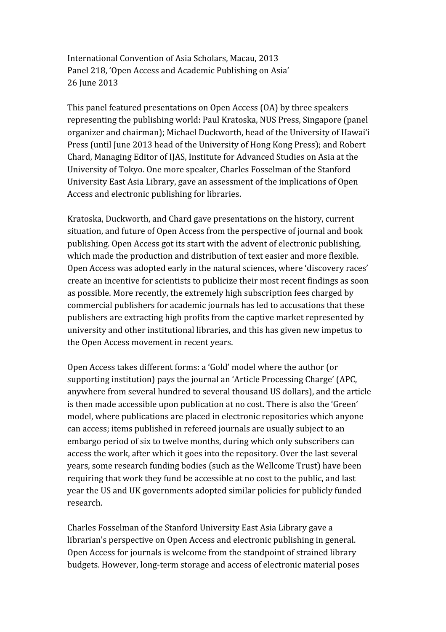International Convention of Asia Scholars, Macau, 2013 Panel 218, 'Open Access and Academic Publishing on Asia' 26 June 2013

This panel featured presentations on Open Access (OA) by three speakers representing the publishing world: Paul Kratoska, NUS Press, Singapore (panel organizer and chairman); Michael Duckworth, head of the University of Hawai'i Press (until June 2013 head of the University of Hong Kong Press); and Robert Chard, Managing Editor of IJAS, Institute for Advanced Studies on Asia at the University of Tokyo. One more speaker, Charles Fosselman of the Stanford University East Asia Library, gave an assessment of the implications of Open Access and electronic publishing for libraries.

Kratoska, Duckworth, and Chard gave presentations on the history, current situation, and future of Open Access from the perspective of journal and book publishing. Open Access got its start with the advent of electronic publishing, which made the production and distribution of text easier and more flexible. Open Access was adopted early in the natural sciences, where 'discovery races' create an incentive for scientists to publicize their most recent findings as soon as possible. More recently, the extremely high subscription fees charged by commercial publishers for academic journals has led to accusations that these publishers are extracting high profits from the captive market represented by university and other institutional libraries, and this has given new impetus to the Open Access movement in recent years.

Open Access takes different forms: a 'Gold' model where the author (or supporting institution) pays the journal an 'Article Processing Charge' (APC, anywhere from several hundred to several thousand US dollars), and the article is then made accessible upon publication at no cost. There is also the 'Green' model, where publications are placed in electronic repositories which anyone can access; items published in refereed journals are usually subject to an embargo period of six to twelve months, during which only subscribers can access the work, after which it goes into the repository. Over the last several years, some research funding bodies (such as the Wellcome Trust) have been requiring that work they fund be accessible at no cost to the public, and last year the US and UK governments adopted similar policies for publicly funded research.

Charles Fosselman of the Stanford University East Asia Library gave a librarian's perspective on Open Access and electronic publishing in general. Open Access for journals is welcome from the standpoint of strained library budgets. However, long-term storage and access of electronic material poses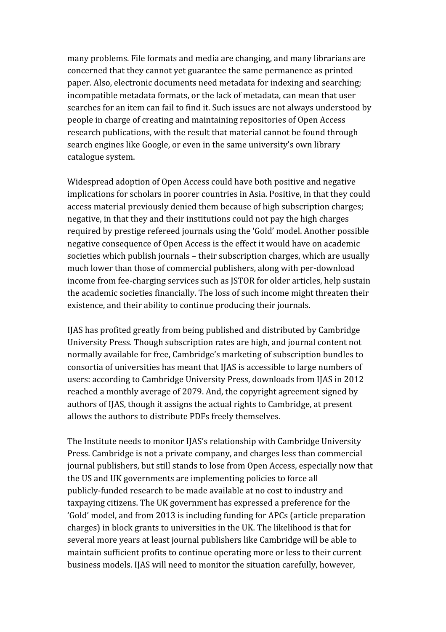many problems. File formats and media are changing, and many librarians are concerned that they cannot yet guarantee the same permanence as printed paper. Also, electronic documents need metadata for indexing and searching; incompatible metadata formats, or the lack of metadata, can mean that user searches for an item can fail to find it. Such issues are not always understood by people in charge of creating and maintaining repositories of Open Access research publications, with the result that material cannot be found through search engines like Google, or even in the same university's own library catalogue system.

Widespread adoption of Open Access could have both positive and negative implications for scholars in poorer countries in Asia. Positive, in that they could access material previously denied them because of high subscription charges; negative, in that they and their institutions could not pay the high charges required by prestige refereed journals using the 'Gold' model. Another possible negative consequence of Open Access is the effect it would have on academic societies which publish journals – their subscription charges, which are usually much lower than those of commercial publishers, along with per-download income from fee-charging services such as JSTOR for older articles, help sustain the academic societies financially. The loss of such income might threaten their existence, and their ability to continue producing their journals.

IJAS has profited greatly from being published and distributed by Cambridge University Press. Though subscription rates are high, and journal content not normally available for free, Cambridge's marketing of subscription bundles to consortia of universities has meant that IJAS is accessible to large numbers of users: according to Cambridge University Press, downloads from IJAS in 2012 reached a monthly average of 2079. And, the copyright agreement signed by authors of IJAS, though it assigns the actual rights to Cambridge, at present allows the authors to distribute PDFs freely themselves.

The Institute needs to monitor IJAS's relationship with Cambridge University Press. Cambridge is not a private company, and charges less than commercial journal publishers, but still stands to lose from Open Access, especially now that the US and UK governments are implementing policies to force all publicly-funded research to be made available at no cost to industry and taxpaying citizens. The UK government has expressed a preference for the 'Gold' model, and from 2013 is including funding for APCs (article preparation charges) in block grants to universities in the UK. The likelihood is that for several more years at least journal publishers like Cambridge will be able to maintain sufficient profits to continue operating more or less to their current business models. IJAS will need to monitor the situation carefully, however,